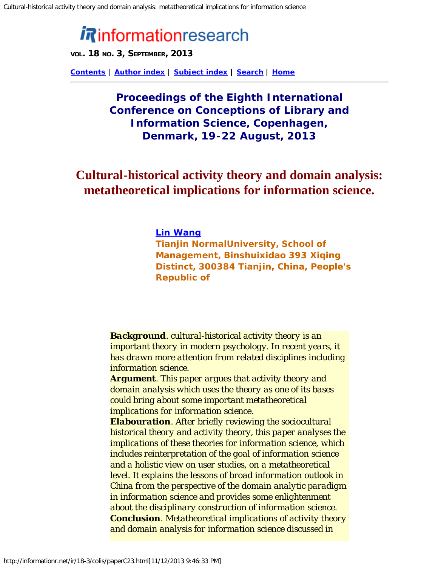# **informationresearch**

**VOL. 18 NO. 3, SEPTEMBER, 2013**

**[Contents](http://informationr.net/ir/18-3/colis/contents.html) | [Author index](http://informationr.net/ir/iraindex.html) | [Subject index](http://informationr.net/ir/irsindex.html) | [Search](http://informationr.net/ir/search.html) | [Home](http://informationr.net/ir/index.html)**

# **Proceedings of the Eighth International Conference on Conceptions of Library and Information Science, Copenhagen, Denmark, 19-22 August, 2013**

# **Cultural-historical activity theory and domain analysis: metatheoretical implications for information science.**

#### *[Lin Wang](mailto:wanglinpku@163.com)*

*Tianjin NormalUniversity, School of Management, Binshuixidao 393 Xiqing Distinct, 300384 Tianjin, China, People's Republic of*

*Background. cultural-historical activity theory is an important theory in modern psychology. In recent years, it has drawn more attention from related disciplines including information science.*

*Argument. This paper argues that activity theory and domain analysis which uses the theory as one of its bases could bring about some important metatheoretical implications for information science.*

*Elabouration. After briefly reviewing the sociocultural historical theory and activity theory, this paper analyses the implications of these theories for information science, which includes reinterpretation of the goal of information science and a holistic view on user studies, on a metatheoretical level. It explains the lessons of broad information outlook in China from the perspective of the domain analytic paradigm in information science and provides some enlightenment about the disciplinary construction of information science. Conclusion. Metatheoretical implications of activity theory and domain analysis for information science discussed in*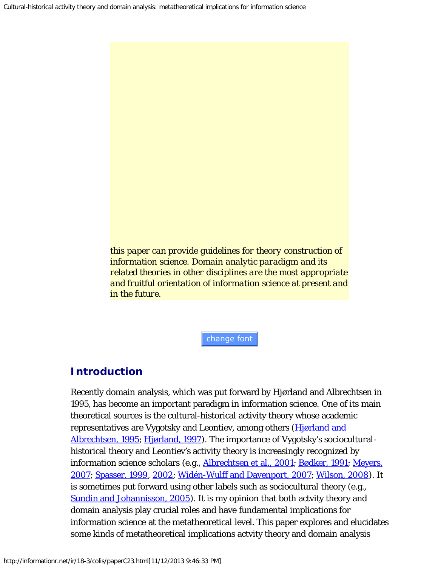*this paper can provide guidelines for theory construction of information science. Domain analytic paradigm and its related theories in other disciplines are the most appropriate and fruitful orientation of information science at present and in the future.*

change font

# **Introduction**

Recently domain analysis, which was put forward by Hjørland and Albrechtsen in 1995, has become an important paradigm in information science. One of its main theoretical sources is the cultural-historical activity theory whose academic representatives are Vygotsky and Leontiev, among others (Higrland and [Albrechtsen, 1995; Hjørland, 1997](#page-16-0)). The importance of Vygotsky's socioculturalhistorical theory and Leontiev's activity theory is increasingly recognized by information science scholars (e.g., [Albrechtsen et al., 2001; Bødker, 1991](#page-16-0); [Meyers,](#page-16-0) [2007;](#page-16-0) [Spasser, 1999, 2002;](#page-16-0) [Widén-Wulff and Davenport, 2007;](#page-16-0) [Wilson, 2008\)](#page-16-1). It is sometimes put forward using other labels such as sociocultural theory (e.g., [Sundin and Johannisson, 2005\)](#page-16-0). It is my opinion that both actvity theory and domain analysis play crucial roles and have fundamental implications for information science at the metatheoretical level. This paper explores and elucidates some kinds of metatheoretical implications actvity theory and domain analysis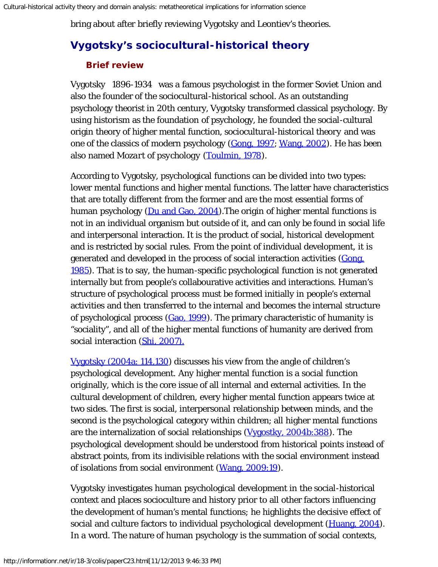bring about after briefly reviewing Vygotsky and Leontiev's theories.

## **Vygotsky's sociocultural-historical theory**

## **Brief review**

Vygotsky 1896-1934 was a famous psychologist in the former Soviet Union and also the founder of the sociocultural-historical school. As an outstanding psychology theorist in 20th century, Vygotsky transformed classical psychology. By using historism as the foundation of psychology, he founded the social-cultural origin theory of higher mental function, *sociocultural-historical theory* and was one of the classics of modern psychology ([Gong, 1997; Wang, 2002](#page-16-0)). He has been also named *Mozart of psychology* [\(Toulmin, 1978](#page-16-0)).

According to Vygotsky, psychological functions can be divided into two types: lower mental functions and higher mental functions. The latter have characteristics that are totally different from the former and are the most essential forms of human psychology ( $\overline{Du}$  and  $\overline{Gao}$ , 2004). The origin of higher mental functions is not in an individual organism but outside of it, and can only be found in social life and interpersonal interaction. It is the product of social, historical development and is restricted by social rules. From the point of individual development, it is generated and developed in the process of social interaction activities [\(Gong,](#page-16-0) [1985\)](#page-16-0). That is to say, the human-specific psychological function is not generated internally but from people's collabourative activities and interactions. Human's structure of psychological process must be formed initially in people's external activities and then transferred to the internal and becomes the internal structure of psychological process ([Gao, 1999](#page-16-0)). The primary characteristic of humanity is "sociality", and all of the higher mental functions of humanity are derived from social interaction [\(Shi, 2007\).](#page-16-0)

[Vygotsky \(2004a: 114,130\)](#page-16-0) discusses his view from the angle of children's psychological development. Any higher mental function is a social function originally, which is the core issue of all internal and external activities. In the cultural development of children, every higher mental function appears twice at two sides. The first is social, interpersonal relationship between minds, and the second is the psychological category within children; all higher mental functions are the internalization of social relationships [\(Vygostky, 2004b:388](#page-16-0)). The psychological development should be understood from historical points instead of abstract points, from its indivisible relations with the social environment instead of isolations from social environment [\(Wang, 2009:19\)](#page-16-0).

Vygotsky investigates human psychological development in the social-historical context and places socioculture and history prior to all other factors influencing the development of human's mental functions; he highlights the decisive effect of social and culture factors to individual psychological development [\(Huang, 2004](#page-16-0)). In a word. The nature of human psychology is the summation of social contexts,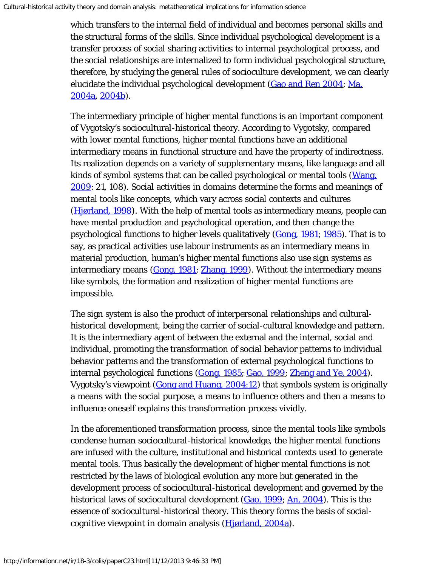which transfers to the internal field of individual and becomes personal skills and the structural forms of the skills. Since individual psychological development is a transfer process of social sharing activities to internal psychological process, and the social relationships are internalized to form individual psychological structure, therefore, by studying the general rules of socioculture development, we can clearly elucidate the individual psychological development [\(Gao and Ren 2004](#page-16-0); [Ma,](#page-16-0) [2004a,](#page-16-0) [2004b](#page-16-0)).

The intermediary principle of higher mental functions is an important component of Vygotsky's sociocultural-historical theory. According to Vygotsky, compared with lower mental functions, higher mental functions have an additional intermediary means in functional structure and have the property of indirectness. Its realization depends on a variety of supplementary means, like language and all kinds of symbol systems that can be called psychological or mental tools [\(Wang,](#page-16-0) [2009:](#page-16-0) 21, 108). Social activities in domains determine the forms and meanings of mental tools like concepts, which vary across social contexts and cultures ([Hjørland, 1998](#page-16-0)). With the help of mental tools as intermediary means, people can have mental production and psychological operation, and then change the psychological functions to higher levels qualitatively ([Gong, 1981](#page-16-0); [1985\)](#page-16-0). That is to say, as practical activities use labour instruments as an intermediary means in material production, human's higher mental functions also use sign systems as intermediary means ([Gong, 1981](#page-16-0); [Zhang, 1999\)](#page-16-2). Without the intermediary means like symbols, the formation and realization of higher mental functions are impossible.

The sign system is also the product of interpersonal relationships and culturalhistorical development, being the carrier of social-cultural knowledge and pattern. It is the intermediary agent of between the external and the internal, social and individual, promoting the transformation of social behavior patterns to individual behavior patterns and the transformation of external psychological functions to internal psychological functions ([Gong, 1985;](#page-16-0) [Gao, 1999;](#page-16-0) [Zheng and Ye, 2004](#page-16-3)). Vygotsky's viewpoint ([Gong and Huang, 2004:12\)](#page-16-0) that symbols system is originally a means with the social purpose, a means to influence others and then a means to influence oneself explains this transformation process vividly.

In the aforementioned transformation process, since the mental tools like symbols condense human sociocultural-historical knowledge, the higher mental functions are infused with the culture, institutional and historical contexts used to generate mental tools. Thus basically the development of higher mental functions is not restricted by the laws of biological evolution any more but generated in the development process of sociocultural-historical development and governed by the historical laws of sociocultural development ([Gao, 1999;](#page-16-0) [An, 2004\)](#page-16-0). This is the essence of sociocultural-historical theory. This theory forms the basis of socialcognitive viewpoint in domain analysis ([Hjørland, 2004a\)](#page-16-0).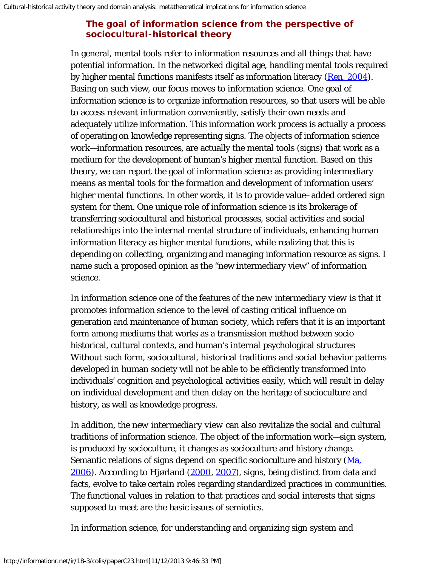## **The goal of information science from the perspective of sociocultural-historical theory**

In general, mental tools refer to information resources and all things that have potential information. In the networked digital age, handling mental tools required by higher mental functions manifests itself as information literacy ([Ren, 2004\)](#page-16-0). Basing on such view, our focus moves to information science. One goal of information science is to organize information resources, so that users will be able to access relevant information conveniently, satisfy their own needs and adequately utilize information. This information work process is actually a process of operating on knowledge representing signs. The objects of information science work—information resources, are actually the mental tools (signs) that work as a medium for the development of human's higher mental function. Based on this theory, we can report the goal of information science as providing intermediary means as mental tools for the formation and development of information users' higher mental functions. In other words, it is to provide value–added ordered sign system for them. One unique role of information science is its brokerage of transferring sociocultural and historical processes, social activities and social relationships into the internal mental structure of individuals, enhancing human information literacy as higher mental functions, while realizing that this is depending on collecting, organizing and managing information resource as signs. I name such a proposed opinion as the "new intermediary view" of information science.

In information science one of the features of the *new intermediary view* is that it promotes information science to the level of casting critical influence on generation and maintenance of human society, which refers that it is an important form among mediums that works as a transmission method between socio historical, cultural contexts, and human's internal psychological structures Without such form, sociocultural, historical traditions and social behavior patterns developed in human society will not be able to be efficiently transformed into individuals' cognition and psychological activities easily, which will result in delay on individual development and then delay on the heritage of socioculture and history, as well as knowledge progress.

In addition, the *new intermediary view* can also revitalize the social and cultural traditions of information science. The object of the information work—sign system, is produced by socioculture, it changes as socioculture and history change. Semantic relations of signs depend on specific socioculture and history ([Ma,](#page-16-0) [2006\)](#page-16-0). According to Hjørland ([2000](#page-16-0), [2007\)](#page-16-0), signs, being distinct from data and facts, evolve to take certain roles regarding standardized practices in communities. The functional values in relation to that practices and social interests that signs supposed to meet are the basic issues of semiotics.

In information science, for understanding and organizing sign system and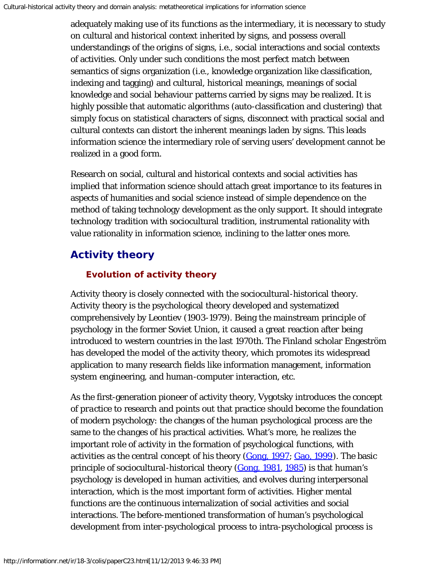adequately making use of its functions as the intermediary, it is necessary to study on cultural and historical context inherited by signs, and possess overall understandings of the origins of signs, i.e., social interactions and social contexts of activities. Only under such conditions the most perfect match between semantics of signs organization (i.e., knowledge organization like classification, indexing and tagging) and cultural, historical meanings, meanings of social knowledge and social behaviour patterns carried by signs may be realized. It is highly possible that automatic algorithms (auto-classification and clustering) that simply focus on statistical characters of signs, disconnect with practical social and cultural contexts can distort the inherent meanings laden by signs. This leads information science the intermediary role of serving users' development cannot be realized in a good form.

Research on social, cultural and historical contexts and social activities has implied that information science should attach great importance to its features in aspects of humanities and social science instead of simple dependence on the method of taking technology development as the only support. It should integrate technology tradition with sociocultural tradition, instrumental rationality with value rationality in information science, inclining to the latter ones more.

# **Activity theory**

## **Evolution of activity theory**

Activity theory is closely connected with the sociocultural-historical theory. Activity theory is the psychological theory developed and systematized comprehensively by Leontiev (1903-1979). Being the mainstream principle of psychology in the former Soviet Union, it caused a great reaction after being introduced to western countries in the last 1970th. The Finland scholar Engeström has developed the model of the activity theory, which promotes its widespread application to many research fields like information management, information system engineering, and human-computer interaction, etc.

As the first-generation pioneer of activity theory, Vygotsky introduces the concept of *practice* to research and points out that practice should become the foundation of modern psychology: the changes of the human psychological process are the same to the changes of his practical activities. What's more, he realizes the important role of activity in the formation of psychological functions, with activities as the central concept of his theory ([Gong, 1997; Gao, 1999](#page-16-0)). The basic principle of sociocultural-historical theory  $(Gong, 1981, 1985)$  $(Gong, 1981, 1985)$  $(Gong, 1981, 1985)$  $(Gong, 1981, 1985)$  is that human's psychology is developed in human activities, and evolves during interpersonal interaction, which is the most important form of activities. Higher mental functions are the continuous internalization of social activities and social interactions. The before-mentioned transformation of human's psychological development from inter-psychological process to intra-psychological process is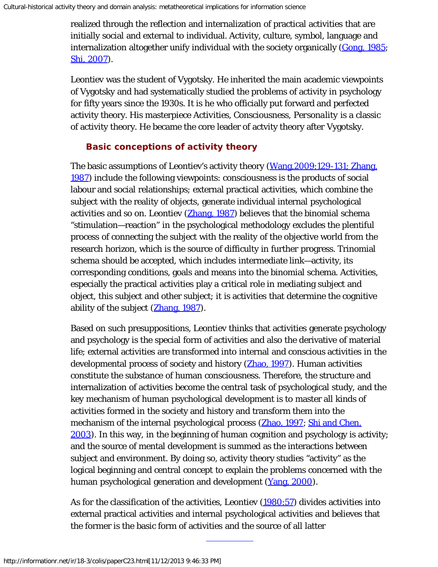realized through the reflection and internalization of practical activities that are initially social and external to individual. Activity, culture, symbol, language and internalization altogether unify individual with the society organically ([Gong, 1985;](#page-16-0) [Shi, 2007\)](#page-16-0).

Leontiev was the student of Vygotsky. He inherited the main academic viewpoints of Vygotsky and had systematically studied the problems of activity in psychology for fifty years since the 1930s. It is he who officially put forward and perfected activity theory. His masterpiece *Activities, Consciousness, Personality* is a classic of activity theory. He became the core leader of actvity theory after Vygotsky.

## **Basic conceptions of activity theory**

The basic assumptions of Leontiev's activity theory (Wang, 2009:129-131; [Zhang,](#page-16-4) [1987\)](#page-16-4) include the following viewpoints: consciousness is the products of social labour and social relationships; external practical activities, which combine the subject with the reality of objects, generate individual internal psychological activities and so on. Leontiev ([Zhang, 1987](#page-16-4)) believes that the binomial schema "stimulation—reaction" in the psychological methodology excludes the plentiful process of connecting the subject with the reality of the objective world from the research horizon, which is the source of difficulty in further progress. Trinomial schema should be accepted, which includes intermediate link—activity, its corresponding conditions, goals and means into the binomial schema. Activities, especially the practical activities play a critical role in mediating subject and object, this subject and other subject; it is activities that determine the cognitive ability of the subject ([Zhang, 1987\)](#page-16-4).

Based on such presuppositions, Leontiev thinks that activities generate psychology and psychology is the special form of activities and also the derivative of material life; external activities are transformed into internal and conscious activities in the developmental process of society and history [\(Zhao, 1997\)](#page-16-5). Human activities constitute the substance of human consciousness. Therefore, the structure and internalization of activities become the central task of psychological study, and the key mechanism of human psychological development is to master all kinds of activities formed in the society and history and transform them into the mechanism of the internal psychological process ([Zhao, 1997;](#page-16-5) [Shi and Chen,](#page-16-0) [2003\)](#page-16-0). In this way, in the beginning of human cognition and psychology is activity; and the source of mental development is summed as the interactions between subject and environment. By doing so, activity theory studies "activity" as the logical beginning and central concept to explain the problems concerned with the human psychological generation and development ([Yang, 2000\)](#page-16-6).

As for the classification of the activities, Leontiev ([1980:57\)](#page-16-0) divides activities into external practical activities and internal psychological activities and believes that the former is the basic form of activities and the source of all latter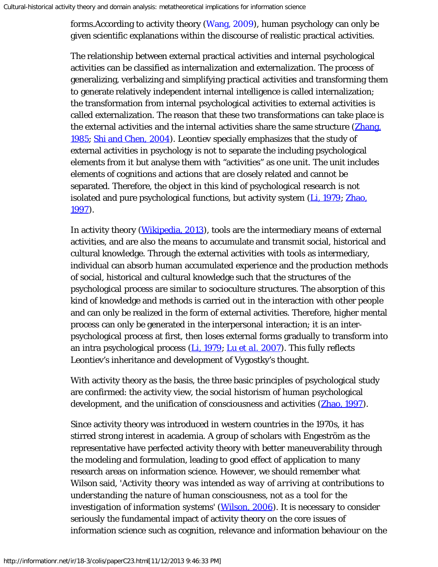forms.According to activity theory [\(Wang, 2009](#page-16-0)), human psychology can only be given scientific explanations within the discourse of realistic practical activities.

The relationship between external practical activities and internal psychological activities can be classified as internalization and externalization. The process of generalizing, verbalizing and simplifying practical activities and transforming them to generate relatively independent internal intelligence is called internalization; the transformation from internal psychological activities to external activities is called externalization. The reason that these two transformations can take place is the external activities and the internal activities share the same structure (*Zhang*, [1985;](#page-16-7) [Shi and Chen, 2004\)](#page-16-0). Leontiev specially emphasizes that the study of external activities in psychology is not to separate the including psychological elements from it but analyse them with "activities" as one unit. The unit includes elements of cognitions and actions that are closely related and cannot be separated. Therefore, the object in this kind of psychological research is not isolated and pure psychological functions, but activity system ([Li, 1979;](#page-16-0) [Zhao,](#page-16-5) [1997\)](#page-16-5).

In activity theory (*Wikipedia, 2013*), tools are the intermediary means of external activities, and are also the means to accumulate and transmit social, historical and cultural knowledge. Through the external activities with tools as intermediary, individual can absorb human accumulated experience and the production methods of social, historical and cultural knowledge such that the structures of the psychological process are similar to socioculture structures. The absorption of this kind of knowledge and methods is carried out in the interaction with other people and can only be realized in the form of external activities. Therefore, higher mental process can only be generated in the interpersonal interaction; it is an interpsychological process at first, then loses external forms gradually to transform into an intra psychological process [\(Li, 1979](#page-16-0); [Lu](#page-16-0) *[et al.](#page-16-0)* [2007\)](#page-16-0). This fully reflects Leontiev's inheritance and development of Vygostky's thought.

With activity theory as the basis, the three basic principles of psychological study are confirmed: the activity view, the social historism of human psychological development, and the unification of consciousness and activities (**Zhao, 1997**).

Since activity theory was introduced in western countries in the 1970s, it has stirred strong interest in academia. A group of scholars with Engeström as the representative have perfected activity theory with better maneuverability through the modeling and formulation, leading to good effect of application to many research areas on information science. However, we should remember what Wilson said, '*Activity theory was intended as way of arriving at contributions to understanding the nature of human consciousness, not as a tool for the investigation of information systems*' ([Wilson, 2006\)](#page-16-9). It is necessary to consider seriously the fundamental impact of activity theory on the core issues of information science such as cognition, relevance and information behaviour on the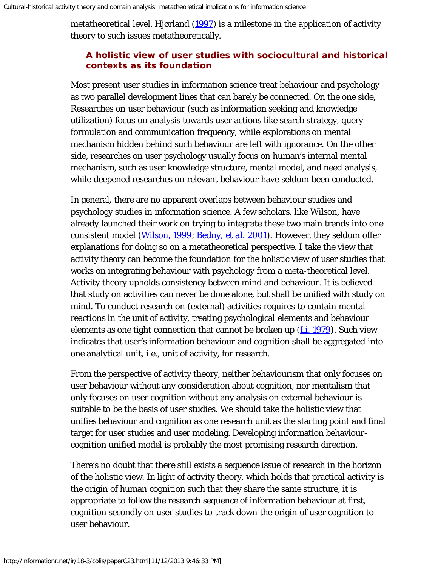metatheoretical level. Hjørland  $(1997)$  $(1997)$  is a milestone in the application of activity theory to such issues metatheoretically.

## **A holistic view of user studies with sociocultural and historical contexts as its foundation**

Most present user studies in information science treat behaviour and psychology as two parallel development lines that can barely be connected. On the one side, Researches on user behaviour (such as information seeking and knowledge utilization) focus on analysis towards user actions like search strategy, query formulation and communication frequency, while explorations on mental mechanism hidden behind such behaviour are left with ignorance. On the other side, researches on user psychology usually focus on human's internal mental mechanism, such as user knowledge structure, mental model, and need analysis, while deepened researches on relevant behaviour have seldom been conducted.

In general, there are no apparent overlaps between behaviour studies and psychology studies in information science. A few scholars, like Wilson, have already launched their work on trying to integrate these two main trends into one consistent model ([Wilson, 1999;](#page-16-10) [Bedny,](#page-16-0) *[et al.](#page-16-0)* [2001](#page-16-0)). However, they seldom offer explanations for doing so on a metatheoretical perspective. I take the view that activity theory can become the foundation for the holistic view of user studies that works on integrating behaviour with psychology from a meta-theoretical level. Activity theory upholds consistency between mind and behaviour. It is believed that study on activities can never be done alone, but shall be unified with study on mind. To conduct research on (external) activities requires to contain mental reactions in the unit of activity, treating psychological elements and behaviour elements as one tight connection that cannot be broken up  $(L_i, 1979)$ . Such view indicates that user's information behaviour and cognition shall be aggregated into one analytical unit, i.e., unit of activity, for research.

From the perspective of activity theory, neither behaviourism that only focuses on user behaviour without any consideration about cognition, nor mentalism that only focuses on user cognition without any analysis on external behaviour is suitable to be the basis of user studies. We should take the holistic view that unifies behaviour and cognition as one research unit as the starting point and final target for user studies and user modeling. Developing information behaviourcognition unified model is probably the most promising research direction.

There's no doubt that there still exists a sequence issue of research in the horizon of the holistic view. In light of activity theory, which holds that practical activity is the origin of human cognition such that they share the same structure, it is appropriate to follow the research sequence of information behaviour at first, cognition secondly on user studies to track down the origin of user cognition to user behaviour.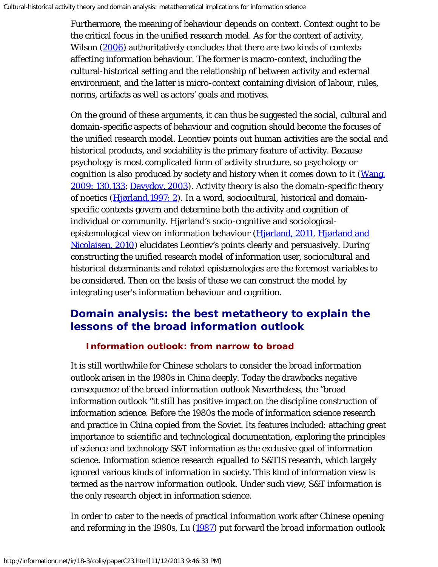Furthermore, the meaning of behaviour depends on context. Context ought to be the critical focus in the unified research model. As for the context of activity, Wilson ([2006\)](#page-16-9) authoritatively concludes that there are two kinds of contexts affecting information behaviour. The former is macro-context, including the cultural-historical setting and the relationship of between activity and external environment, and the latter is micro-context containing division of labour, rules, norms, artifacts as well as actors' goals and motives.

On the ground of these arguments, it can thus be suggested the social, cultural and domain-specific aspects of behaviour and cognition should become the focuses of the unified research model. Leontiev points out human activities are the social and historical products, and sociability is the primary feature of activity. Because psychology is most complicated form of activity structure, so psychology or cognition is also produced by society and history when it comes down to it (*Wang*, [2009: 130,133;](#page-16-0) [Davydov, 2003\)](#page-16-0). Activity theory is also the domain-specific theory of noetics ([Hjørland,1997: 2\)](#page-16-0). In a word, sociocultural, historical and domainspecific contexts govern and determine both the activity and cognition of individual or community. Hjørland's socio-cognitive and sociological-epistemological view on information behaviour ([Hjørland, 2011, Hjørland and](#page-16-0) [Nicolaisen, 2010\)](#page-16-0) elucidates Leontiev's points clearly and persuasively. During constructing the unified research model of information user, sociocultural and historical determinants and related epistemologies are the foremost *variables* to be considered. Then on the basis of these we can construct the model by integrating user's information behaviour and cognition.

# **Domain analysis: the best metatheory to explain the lessons of the** *broad information outlook*

#### *Information outlook***: from narrow to broad**

It is still worthwhile for Chinese scholars to consider the *broad information outlook* arisen in the 1980s in China deeply. Today the drawbacks negative consequence of the *broad information outlook* Nevertheless, the "broad information outlook "it still has positive impact on the discipline construction of information science. Before the 1980s the mode of information science research and practice in China copied from the Soviet. Its features included: attaching great importance to scientific and technological documentation, exploring the principles of science and technology S&T information as the exclusive goal of information science. Information science research equalled to S&TIS research, which largely ignored various kinds of information in society. This kind of information view is termed as the *narrow information outlook*. Under such view, S&T information is the only research object in information science.

In order to cater to the needs of practical information work after Chinese opening and reforming in the 1980s, Lu [\(1987\)](#page-16-0) put forward the *broad information outlook*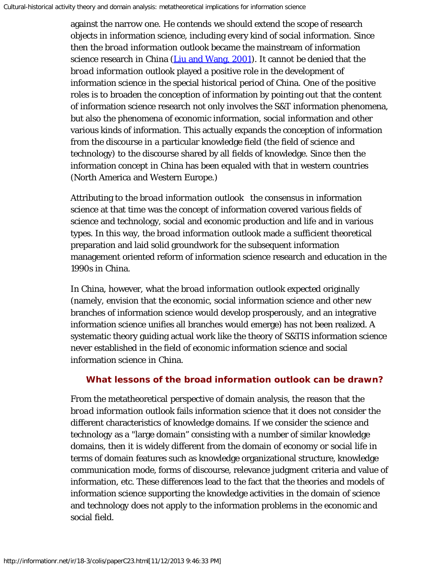against the narrow one. He contends we should extend the scope of research objects in information science, including every kind of social information. Since then the *broad information outlook* became the mainstream of information science research in China ([Liu and Wang, 2001\)](#page-16-0). It cannot be denied that the *broad information outlook* played a positive role in the development of information science in the special historical period of China. One of the positive roles is to broaden the conception of information by pointing out that the content of information science research not only involves the S&T information phenomena, but also the phenomena of economic information, social information and other various kinds of information. This actually expands the conception of information from the discourse in a particular knowledge field (the field of science and technology) to the discourse shared by all fields of knowledge. Since then the information concept in China has been equaled with that in western countries (North America and Western Europe.)

Attributing to the *broad information outlook* the consensus in information science at that time was the concept of information covered various fields of science and technology, social and economic production and life and in various types. In this way, the *broad information outlook* made a sufficient theoretical preparation and laid solid groundwork for the subsequent information management oriented reform of information science research and education in the 1990s in China.

In China, however, what the *broad information outlook* expected originally (namely, envision that the economic, social information science and other new branches of information science would develop prosperously, and an integrative information science unifies all branches would emerge) has not been realized. A systematic theory guiding actual work like the theory of S&TIS information science never established in the field of economic information science and social information science in China.

## **What lessons of the** *broad information outlook* **can be drawn?**

From the metatheoretical perspective of domain analysis, the reason that the *broad information outlook* fails information science that it does not consider the different characteristics of knowledge domains. If we consider the science and technology as a "large domain" consisting with a number of similar knowledge domains, then it is widely different from the domain of economy or social life in terms of domain features such as knowledge organizational structure, knowledge communication mode, forms of discourse, relevance judgment criteria and value of information, etc. These differences lead to the fact that the theories and models of information science supporting the knowledge activities in the domain of science and technology does not apply to the information problems in the economic and social field.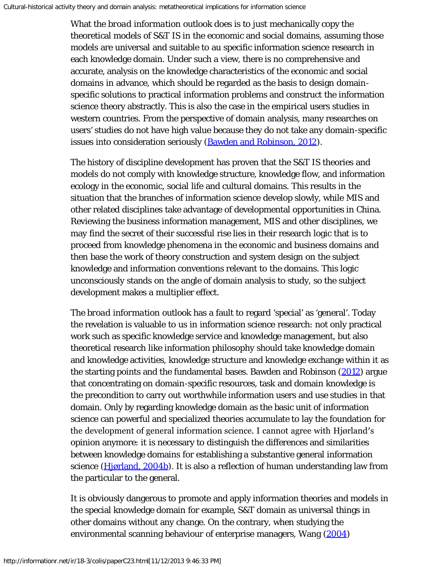What the *broad information outlook* does is to just mechanically copy the theoretical models of S&T IS in the economic and social domains, assuming those models are universal and suitable to au specific information science research in each knowledge domain. Under such a view, there is no comprehensive and accurate, analysis on the knowledge characteristics of the economic and social domains in advance, which should be regarded as the basis to design domainspecific solutions to practical information problems and construct the information science theory abstractly. This is also the case in the empirical users studies in western countries. From the perspective of domain analysis, many researches on users' studies do not have high value because they do not take any domain-specific issues into consideration seriously (**Bawden and Robinson**, 2012).

The history of discipline development has proven that the S&T IS theories and models do not comply with knowledge structure, knowledge flow, and information ecology in the economic, social life and cultural domains. This results in the situation that the branches of information science develop slowly, while MIS and other related disciplines take advantage of developmental opportunities in China. Reviewing the business information management, MIS and other disciplines, we may find the secret of their successful rise lies in their research logic that is to proceed from knowledge phenomena in the economic and business domains and then base the work of theory construction and system design on the subject knowledge and information conventions relevant to the domains. This logic unconsciously stands on the angle of domain analysis to study, so the subject development makes a multiplier effect.

The *broad information outlook* has a fault to regard 'special' as 'general'. Today the revelation is valuable to us in information science research: not only practical work such as specific knowledge service and knowledge management, but also theoretical research like information philosophy should take knowledge domain and knowledge activities, knowledge structure and knowledge exchange within it as the starting points and the fundamental bases. Bawden and Robinson [\(2012](#page-16-0)) argue that concentrating on domain-specific resources, task and domain knowledge is the precondition to carry out worthwhile information users and use studies in that domain. Only by regarding knowledge domain as the basic unit of information science can powerful and specialized theories accumulate to lay the foundation for the development of general information science. I cannot agree with Hjørland′s opinion anymore: it is necessary to distinguish the differences and similarities between knowledge domains for establishing a substantive general information science [\(Hjørland, 2004b](#page-16-0)). It is also a reflection of human understanding law from the particular to the general.

It is obviously dangerous to promote and apply information theories and models in the special knowledge domain for example, S&T domain as universal things in other domains without any change. On the contrary, when studying the environmental scanning behaviour of enterprise managers, Wang [\(2004\)](#page-16-0)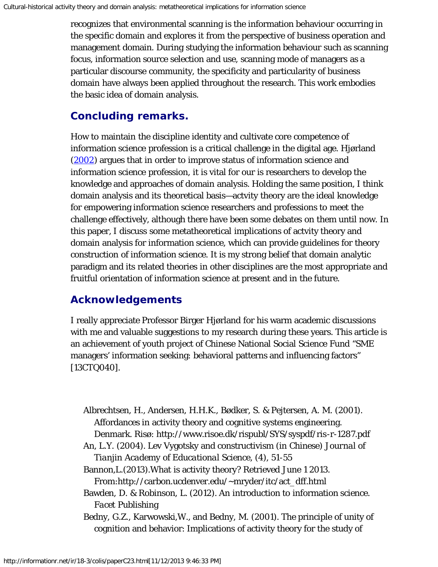recognizes that environmental scanning is the information behaviour occurring in the specific domain and explores it from the perspective of business operation and management domain. During studying the information behaviour such as scanning focus, information source selection and use, scanning mode of managers as a particular discourse community, the specificity and particularity of business domain have always been applied throughout the research. This work embodies the basic idea of domain analysis.

# **Concluding remarks.**

How to maintain the discipline identity and cultivate core competence of information science profession is a critical challenge in the digital age. Hjørland ([2002\)](#page-16-0) argues that in order to improve status of information science and information science profession, it is vital for our is researchers to develop the knowledge and approaches of domain analysis. Holding the same position, I think domain analysis and its theoretical basis—actvity theory are the ideal knowledge for empowering information science researchers and professions to meet the challenge effectively, although there have been some debates on them until now. In this paper, I discuss some metatheoretical implications of actvity theory and domain analysis for information science, which can provide guidelines for theory construction of information science. It is my strong belief that domain analytic paradigm and its related theories in other disciplines are the most appropriate and fruitful orientation of information science at present and in the future.

# **Acknowledgements**

I really appreciate Professor Birger Hjørland for his warm academic discussions with me and valuable suggestions to my research during these years. This article is an achievement of youth project of Chinese National Social Science Fund "SME managers' information seeking: behavioral patterns and influencing factors" [13CTQ040].

- Albrechtsen, H., Andersen, H.H.K., Bødker, S. & Pejtersen, A. M. (2001). Affordances in activity theory and cognitive systems engineering. Denmark. Risø: http://www.risoe.dk/rispubl/SYS/syspdf/ris-r-1287.pdf
- An, L.Y. (2004). Lev Vygotsky and constructivism (in Chinese) *Journal of Tianjin Academy of Educational Science*, (4), 51-55
- Bannon,L.(2013).What is activity theory? Retrieved June 1 2013. From:http://carbon.ucdenver.edu/~mryder/itc/act\_dff.html

Bawden, D. & Robinson, L. (2012). An introduction to information science. *Facet Publishing*

Bedny, G.Z., Karwowski,W., and Bedny, M. (2001). The principle of unity of cognition and behavior: Implications of activity theory for the study of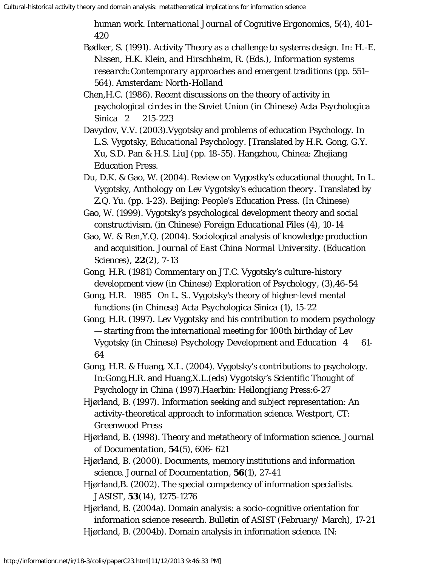human work. *International Journal of Cognitive Ergonomics*, 5(4), 401– 420

- Bødker, S. (1991). Activity Theory as a challenge to systems design. In: H.-E. Nissen, H.K. Klein, and Hirschheim, R. (Eds.), *Information systems research:Contemporary approaches and emergent traditions* (pp. 551– 564). Amsterdam: North-Holland
- Chen,H.C. (1986). Recent discussions on the theory of activity in psychological circles in the Soviet Union (in Chinese) *Acta Psychologica Sinica* 2 215-223
- Davydov, V.V. (2003).Vygotsky and problems of education Psychology. In L.S. Vygotsky, *Educational Psychology*. [Translated by H.R. Gong, G.Y. Xu, S.D. Pan & H.S. Liu] (pp. 18-55). Hangzhou, Chinea: Zhejiang Education Press.
- Du, D.K. & Gao, W. (2004). Review on Vygostky's educational thought. In L. Vygotsky, *Anthology on Lev Vygotsky's education theory*. Translated by Z.Q. Yu. (pp. 1-23). Beijing: People's Education Press. (In Chinese)
- Gao, W. (1999). Vygotsky's psychological development theory and social constructivism. (in Chinese) *Foreign Educational Files* (4), 10-14
- Gao, W. & Ren,Y.Q. (2004). Sociological analysis of knowledge production and acquisition. *Journal of East China Normal University. (Education Sciences)*, **22**(2), 7-13
- Gong, H.R. (1981) Commentary on JT.C. Vygotsky's culture-history development view (in Chinese) *Exploration of Psychology*, (3),46-54
- Gong, H.R. 1985 On L. S.. Vygotsky's theory of higher-level mental functions (in Chinese) *Acta Psychologica Sinica* (1), 15-22
- Gong, H.R. (1997). Lev Vygotsky and his contribution to modern psychology — starting from the international meeting for 100th birthday of Lev Vygotsky (in Chinese) *Psychology Development and Education* 4 61- 64
- Gong, H.R. & Huang, X.L. (2004). Vygotsky's contributions to psychology. In:Gong,H.R. and Huang,X.L.(eds) *Vygotsky's Scientific Thought of Psychology in China* (1997).Haerbin: Heilongjiang Press:6-27
- Hjørland, B. (1997). Information seeking and subject representation: An activity-theoretical approach to information science. *Westport, CT: Greenwood Press*
- Hjørland, B. (1998). Theory and metatheory of information science. *Journal of Documentation*, **54**(5), 606- 621
- Hjørland, B. (2000). Documents, memory institutions and information science. *Journal of Documentation*, **56**(1), 27-41
- Hjørland,B. (2002). The special competency of information specialists. *JASIST*, **53**(14), 1275-1276
- Hjørland, B. (2004a). Domain analysis: a socio-cognitive orientation for information science research. *Bulletin of ASIST* (February/ March), 17-21 Hjørland, B. (2004b). Domain analysis in information science. IN: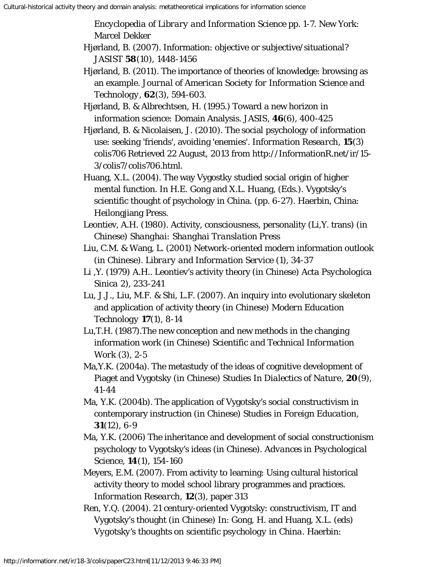*Encyclopedia of Library and Information Science* pp. 1-7. New York: Marcel Dekker

- Hjørland, B. (2007). Information: objective or subjective/situational? *JASIST* **58**(10), 1448-1456
- Hjørland, B. (2011). The importance of theories of knowledge: browsing as an example. *Journal of American Society for Information Science and Technology*, **62**(3), 594-603.
- Hjørland, B. & Albrechtsen, H. (1995.) Toward a new horizon in information science: Domain Analysis. *JASIS*, **46**(6), 400-425
- Hjørland, B. & Nicolaisen, J. (2010). The social psychology of information use: seeking 'friends', avoiding 'enemies'. *Information Research*, **15**(3) colis706 Retrieved 22 August, 2013 from http://InformationR.net/ir/15- 3/colis7/colis706.html.
- Huang, X.L. (2004). The way Vygostky studied social origin of higher mental function. In H.E. Gong and X.L. Huang, (Eds.). Vygotsky's scientific thought of psychology in China. (pp. 6-27). Haerbin, China: Heilongjiang Press.
- Leontiev, A.H. (1980). Activity, consciousness, personality (Li,Y. trans) (in Chinese) *Shanghai: Shanghai Translation Press*
- Liu, C.M. & Wang, L. (2001) Network-oriented modern information outlook (in Chinese). *Library and Information Service* (1), 34-37
- Li ,Y. (1979) A.H.. Leontiev's activity theory (in Chinese) *Acta Psychologica Sinica* 2), 233-241
- Lu, J.J., Liu, M.F. & Shi, L.F. (2007). An inquiry into evolutionary skeleton and application of activity theory (in Chinese) *Modern Education Technology* **17**(1), 8-14
- Lu,T.H. (1987).The new conception and new methods in the changing information work (in Chinese) *Scientific and Technical Information Work* (3), 2-5
- Ma,Y.K. (2004a). The metastudy of the ideas of cognitive development of Piaget and Vygotsky (in Chinese) *Studies In Dialectics of Nature*, **20**(9), 41-44
- Ma, Y.K. (2004b). The application of Vygotsky's social constructivism in contemporary instruction (in Chinese) *Studies in Foreign Education*, **31**(12), 6-9
- Ma, Y.K. (2006) The inheritance and development of social constructionism psychology to Vygotsky's ideas (in Chinese). *Advances in Psychological Science*, **14**(1), 154-160
- Meyers, E.M. (2007). From activity to learning: Using cultural historical activity theory to model school library programmes and practices. *Information Research*, **12**(3), paper 313
- Ren, Y.Q. (2004). 21 century-oriented Vygotsky: constructivism, IT and Vygotsky's thought (in Chinese) In: Gong, H. and Huang, X.L. (eds) *Vygotsky's thoughts on scientific psychology in China*. Haerbin: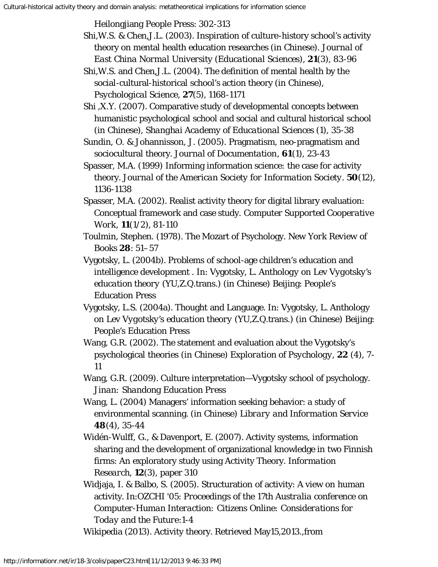Heilongjiang People Press: 302-313

- Shi,W.S. & Chen,J.L. (2003). Inspiration of culture-history school's activity theory on mental health education researches (in Chinese). *Journal of East China Normal University (Educational Sciences)*, **21**(3), 83-96
- Shi,W.S. and Chen,J.L. (2004). The definition of mental health by the social-cultural-historical school's action theory (in Chinese), *Psychological Science*, **27**(5), 1168-1171
- Shi ,X.Y. (2007). Comparative study of developmental concepts between humanistic psychological school and social and cultural historical school (in Chinese), *Shanghai Academy of Educational Sciences* (1), 35-38
- Sundin, O. & Johannisson, J. (2005). Pragmatism, neo-pragmatism and sociocultural theory. *Journal of Documentation*, **61**(1), 23-43
- Spasser, M.A. (1999) Informing information science: the case for activity theory. *Journal of the American Society for Information Society*. **50**(12), 1136-1138
- Spasser, M.A. (2002). Realist activity theory for digital library evaluation: Conceptual framework and case study. *Computer Supported Cooperative Work*, **11**(1/2), 81-110
- Toulmin, Stephen. (1978). The Mozart of Psychology. *New York Review of Books* **28**: 51–57
- Vygotsky, L. (2004b). Problems of school-age children's education and intelligence development . In: Vygotsky, L. *Anthology on Lev Vygotsky's education theory* (YU,Z.Q.trans.) (in Chinese) Beijing: People's Education Press
- Vygotsky, L.S. (2004a). Thought and Language. In: Vygotsky, L. *Anthology on Lev Vygotsky's education theory* (YU,Z.Q.trans.) (in Chinese) Beijing: People's Education Press
- Wang, G.R. (2002). The statement and evaluation about the Vygotsky's psychological theories (in Chinese) *Exploration of Psychology*, **22** (4), 7- 11
- Wang, G.R. (2009). Culture interpretation—Vygotsky school of psychology. *Jinan: Shandong Education Press*
- Wang, L. (2004) Managers' information seeking behavior: a study of environmental scanning. (in Chinese) *Library and Information Service* **48**(4), 35-44
- Widén-Wulff, G., & Davenport, E. (2007). Activity systems, information sharing and the development of organizational knowledge in two Finnish firms: An exploratory study using Activity Theory. *Information Research,* **12**(3), paper 310
- Widjaja, I. & Balbo, S. (2005). Structuration of activity: A view on human activity. In:OZCHI '05: *Proceedings of the 17th Australia conference on Computer-Human Interaction: Citizens Online: Considerations for Today and the Future*:1-4
- Wikipedia (2013). Activity theory. Retrieved May15,2013.,from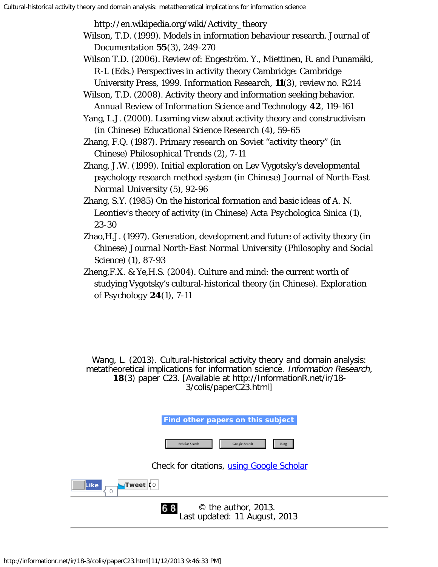<span id="page-16-0"></span>http://en.wikipedia.org/wiki/Activity\_theory

- <span id="page-16-10"></span><span id="page-16-8"></span>Wilson, T.D. (1999). Models in information behaviour research. *Journal of Documentation* **55**(3), 249-270
- <span id="page-16-9"></span>Wilson T.D. (2006). Review of: Engeström. Y., Miettinen, R. and Punamäki, R-L (Eds.) Perspectives in activity theory Cambridge: Cambridge University Press, 1999. *Information Research*, **11**(3), review no. R214
- <span id="page-16-1"></span>Wilson, T.D. (2008). Activity theory and information seeking behavior. *Annual Review of Information Science and Technology* **42**, 119-161

<span id="page-16-6"></span>Yang, L.J. (2000). Learning view about activity theory and constructivism (in Chinese) *Educational Science Research* (4), 59-65

- <span id="page-16-4"></span>Zhang, F.Q. (1987). Primary research on Soviet "activity theory" (in Chinese) *Philosophical Trends* (2), 7-11
- <span id="page-16-2"></span>Zhang, J.W. (1999). Initial exploration on Lev Vygotsky's developmental psychology research method system (in Chinese) *Journal of North-East Normal University* (5), 92-96
- <span id="page-16-7"></span>Zhang, S.Y. (1985) On the historical formation and basic ideas of A. N. Leontiev's theory of activity (in Chinese) *Acta Psychologica Sinica* (1), 23-30
- <span id="page-16-5"></span>Zhao,H.J. (1997). Generation, development and future of activity theory (in Chinese) *Journal North-East Normal University (Philosophy and Social Science)* (1), 87-93
- <span id="page-16-3"></span>Zheng,F.X. & Ye,H.S. (2004). Culture and mind: the current worth of studying Vygotsky's cultural-historical theory (in Chinese). *Exploration of Psychology* **24**(1), 7-11

Wang, L. (2013). Cultural-historical activity theory and domain analysis: metatheoretical implications for information science. Information Research, **18**(3) paper C23. [Available at http://InformationR.net/ir/18- 3/colis/paperC23.html]

| Find other papers on this subject                                |
|------------------------------------------------------------------|
| Scholar Search<br>Google Search<br><b>Bing</b>                   |
| Check for citations, using Google Scholar                        |
| Tweet K0<br><b>Like</b>                                          |
| $\odot$ the author, 2013.<br>68<br>Last updated: 11 August, 2013 |